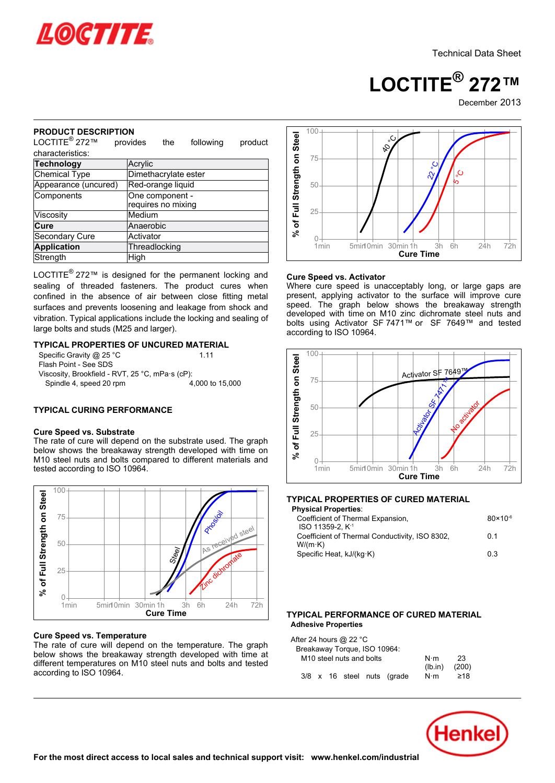

# **LOCTITE® 272™**

December 2013

## **PRODUCT DESCRIPTION**

| LOCTITE <sup>®</sup> 272™ | provides  | the                  | following | product |  |
|---------------------------|-----------|----------------------|-----------|---------|--|
| characteristics:          |           |                      |           |         |  |
| <b>Technology</b>         | Acrylic   |                      |           |         |  |
| <b>Chemical Type</b>      |           | Dimethacrylate ester |           |         |  |
| Appearance (uncured)      |           | Red-orange liquid    |           |         |  |
| Components                |           | One component -      |           |         |  |
|                           |           | requires no mixing   |           |         |  |
| Viscosity                 | Medium    |                      |           |         |  |
| Cure                      | Anaerobic |                      |           |         |  |
| Secondary Cure            |           | Activator            |           |         |  |
| <b>Application</b>        |           | Threadlocking        |           |         |  |
| Strength                  | High      |                      |           |         |  |
|                           |           |                      |           |         |  |

LOCTITE<sup>®</sup> 272™ is designed for the permanent locking and sealing of threaded fasteners. The product cures when confined in the absence of air between close fitting metal surfaces and prevents loosening and leakage from shock and vibration. Typical applications include the locking and sealing of maturem by premarp presence increase is<br>large bolts and studs (M25 and larger).

## **TYPICAL PROPERTIES OF UNCURED MATERIAL**

Specific Gravity @ 25 °C 1.11 Flash Point - See SDS Viscosity, Brookfield - RVT, 25 °C, mPa·s (cP):  $S$ pindle 4, speed 20 rpm  $4,000$  to 15,000

## **TYPICAL CURING PERFORMANCE**

#### **Cure Speed vs. Substrate**

**The rate of cure will depend on the substrate used. The graph**<br>The rate of cure will depend on the substrate used. The graph below shows the breakaway strength developed with time on M10 steel nuts and bolts compared to different materials and who steer hats and boits com-<br>tested according to ISO 10964.



#### **Cure Speed vs. Temperature**

oure opeed vs. remperature<br>The rate of cure will depend on the temperature. The graph below shows the breakaway strength developed with time at different temperatures on M10 steel nuts and bolts and tested according to ISO 10964.



#### **Cure Speed vs. Activator**

Where cure speed is unacceptably long, or large gaps are present, applying activator to the surface will improve cure present, applying activator to the surface will improve care<br>speed. The graph below shows the breakaway strength developed with time on M10 zinc dichromate steel nuts and bolts using Activator SF 7471™ or SF 7649™ and tested bolts dollig 7 tetivator<br>according to ISO 10964.



## **TYPICAL PROPERTIES OF CURED MATERIAL**

| Physical Properties∶                                              |                     |
|-------------------------------------------------------------------|---------------------|
| Coefficient of Thermal Expansion,<br>ISO 11359-2. K <sup>-1</sup> | $80 \times 10^{-6}$ |
| Coefficient of Thermal Conductivity, ISO 8302,<br>$W/(m \cdot K)$ | 0 1                 |
| Specific Heat, kJ/(kg·K)                                          | 0.3                 |

#### **TYPICAL PERFORMANCE OF CURED MATERIAL Adhesive Properties**

After 24 hours @ 22 °C

|  | Breakaway Torque, ISO 10964:         |                            |                        |             |
|--|--------------------------------------|----------------------------|------------------------|-------------|
|  | M <sub>10</sub> steel nuts and bolts |                            | $N \cdot m$<br>(lb.in) | 23<br>(200) |
|  |                                      | 3/8 x 16 steel nuts (grade | N⋅m                    | ≥18         |

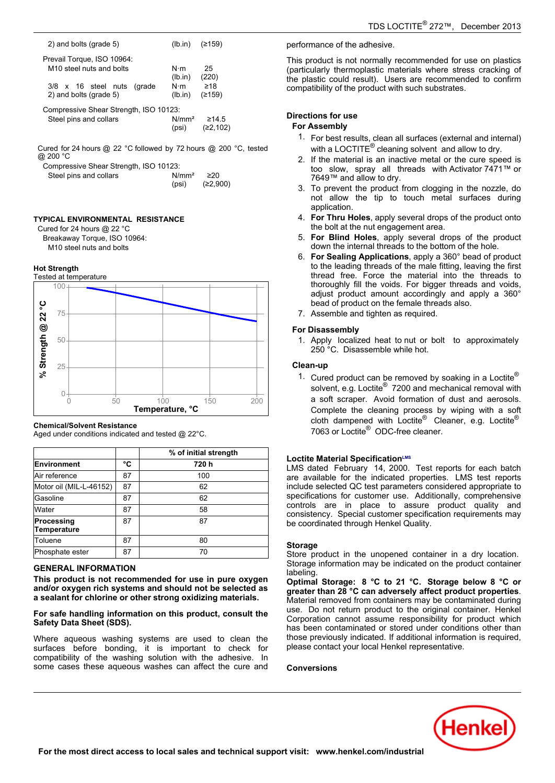| 2) and bolts (grade 5)                                                                                                               | (lb.in)                                          | (≥159)                             |  |  |
|--------------------------------------------------------------------------------------------------------------------------------------|--------------------------------------------------|------------------------------------|--|--|
| Prevail Torque, ISO 10964:<br>M <sub>10</sub> steel nuts and bolts<br>$3/8 \times 16$ steel nuts<br>(grade<br>2) and bolts (grade 5) | $N \cdot m$<br>(lb.in)<br>$N \cdot m$<br>(lb.in) | 25<br>(220)<br>$\geq 18$<br>(2159) |  |  |
| Compressive Shear Strength, ISO 10123:<br>Steel pins and collars<br>N/mm <sup>2</sup><br>≥14.5<br>(≥2,102)<br>(psi)                  |                                                  |                                    |  |  |

Cured for 24 hours @ 22 °C followed by 72 hours @ 200 °C, tested @ 200 °C

| .<br>Compressive Shear Strength, ISO 10123: |                   |          |
|---------------------------------------------|-------------------|----------|
| Steel pins and collars                      | N/mm <sup>2</sup> | ≥20      |
|                                             | (psi)             | (≥2,900) |

#### **TYPICAL ENVIRONMENTAL RESISTANCE**

Cured for 24 hours @ 22 °C Breakaway Torque, ISO 10964: M10 steel nuts and bolts

#### **Hot Strength**



#### **Chemical/Solvent Resistance**

Aged under conditions indicated and tested @ 22°C.

|                           |    | % of initial strength |
|---------------------------|----|-----------------------|
| <b>Environment</b>        | °C | 720 h                 |
| Air reference             | 87 | 100                   |
| Motor oil (MIL-L-46152)   | 87 | 62                    |
| Gasoline                  | 87 | 62                    |
| Water                     | 87 | 58                    |
| Processing<br>Temperature | 87 | 87                    |
| Toluene                   | 87 | 80                    |
| Phosphate ester           | 87 | 70                    |

## **GENERAL INFORMATION**

**This product is not recommended for use in pure oxygen and/or oxygen rich systems and should not be selected as asealant for chlorine or other strong oxidizing materials.**

#### **For safe handling information on this product, consult the Safety Data Sheet (SDS).**

Where aqueous washing systems are used to clean the surfaces before bonding, it is important to check for compatibility of the washing solution with the adhesive. In some cases these aqueous washes can affect the cure and performance of the adhesive.

This product is not normally recommended for use on plastics (particularly thermoplastic materials where stress cracking of the plastic could result). Users are recommended to confirm compatibility of the product with such substrates.

# **Directions for use**

# **For Assembly**

- 1. For best results, clean all surfaces (external and internal) if of best results, clear all surfaces (external and line<br>with a LOCTITE® cleaning solvent and allow to dry.
- 2. If the material is an inactive metal or the cure speed is to the material is an inactive metal of the earc speed is<br>too slow, spray all threads with Activator 7471™ or 7649™ and allow to dry.
- 3. To prevent the product from clogging in the nozzle, do not allow the tip to touch metal surfaces during application.
- 4. **For Thru Holes**, apply several drops of the product onto **the bolt at the nut engagement area.**<br>the bolt at the nut engagement area.
- 5. **For Blind Holes**, apply several drops of the product down the internal threads to the bottom of the hole.
- 6. **For Sealing Applications**, apply a 360° bead of product **to the leading Applications**, apply a 500 Bead of product<br>to the leading threads of the male fitting, leaving the first thread free. Force the material into the threads to thoroughly fill the voids. For bigger threads and voids, aloroughly in the voids. For bigger threads and voids,<br>adjust product amount accordingly and apply a 360° adjast product amount accordingly and c<br>bead of product on the female threads also.
- **2008** of product of the romal cand-<br>7. Assemble and tighten as required.

## **For Disassembly**

1. Apply localized heat to nut or bolt to approximately 250 °C. Disassemble while hot.

## **Clean-up**

1. Cured product can be removed by soaking in a Loctite® solvent, e.g. Loctite® 7200 and mechanical removal with a soft scraper. Avoid formation of dust and aerosols. Complete the cleaning process by wiping with a soft complete the clearing process by wiping with a consider 7063 or Loctite® ODC-free cleaner.

#### **Loctite Material SpecificationLMS**

LMS dated February -14, 2000. Test reports for each batch are available for the indicated properties. LMS test reports include selected QC test parameters considered appropriate to specifications for customer use. Additionally, comprehensive controls are in place to assure product quality and consistency. Special customer specification requirements may be coordinated through Henkel Quality.

## **Storage**

Store product in the unopened container in a dry location. Storage information may be indicated on the product container labeling.

 **Optimal Storage: 8 °C to 21 °C. Storage below 8 °C or greater than 28 °C can adversely affect product properties**. Material removed from containers may be contaminated during use. Do not return product to the original container. Henkel ase. Be not retain product to the original container. Hence<br>Corporation cannot assume responsibility for product which has been contaminated or stored under conditions other than those previously indicated. If additional information is required, mose previously indicated: in doditional imormations<br>please contact your local Henkel representative.

## **Conversions**